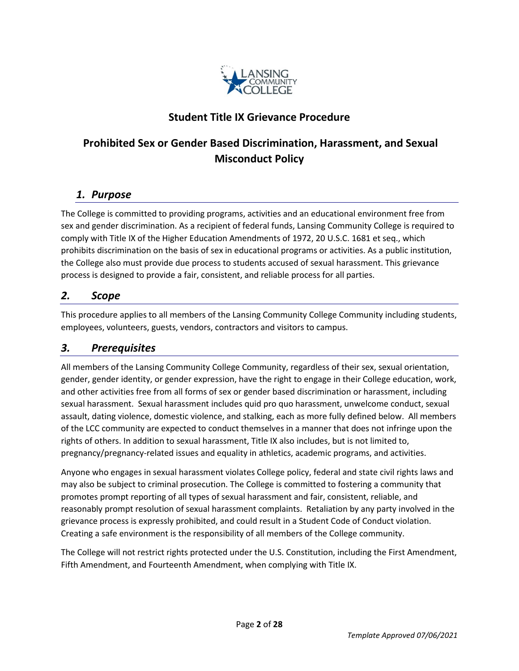

# **Student Title IX Grievance Procedure**

# **Prohibited Sex or Gender Based Discrimination, Harassment, and Sexual Misconduct Policy**

## *1. Purpose*

The College is committed to providing programs, activities and an educational environment free from sex and gender discrimination. As a recipient of federal funds, Lansing Community College is required to comply with Title IX of the Higher Education Amendments of 1972, 20 U.S.C. 1681 et seq., which prohibits discrimination on the basis of sex in educational programs or activities. As a public institution, the College also must provide due process to students accused of sexual harassment. This grievance process is designed to provide a fair, consistent, and reliable process for all parties.

## *2. Scope*

This procedure applies to all members of the Lansing Community College Community including students, employees, volunteers, guests, vendors, contractors and visitors to campus.

## *3. Prerequisites*

All members of the Lansing Community College Community, regardless of their sex, sexual orientation, gender, gender identity, or gender expression, have the right to engage in their College education, work, and other activities free from all forms of sex or gender based discrimination or harassment, including sexual harassment. Sexual harassment includes quid pro quo harassment, unwelcome conduct, sexual assault, dating violence, domestic violence, and stalking, each as more fully defined below. All members of the LCC community are expected to conduct themselves in a manner that does not infringe upon the rights of others. In addition to sexual harassment, Title IX also includes, but is not limited to, pregnancy/pregnancy-related issues and equality in athletics, academic programs, and activities.

Anyone who engages in sexual harassment violates College policy, federal and state civil rights laws and may also be subject to criminal prosecution. The College is committed to fostering a community that promotes prompt reporting of all types of sexual harassment and fair, consistent, reliable, and reasonably prompt resolution of sexual harassment complaints. Retaliation by any party involved in the grievance process is expressly prohibited, and could result in a Student Code of Conduct violation. Creating a safe environment is the responsibility of all members of the College community.

The College will not restrict rights protected under the U.S. Constitution, including the First Amendment, Fifth Amendment, and Fourteenth Amendment, when complying with Title IX.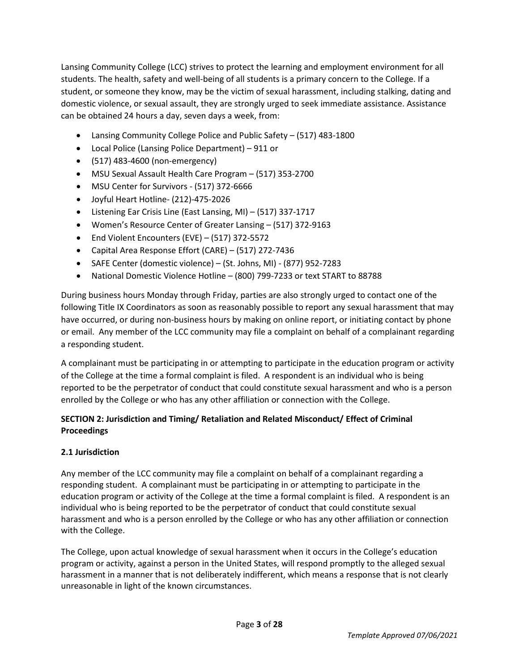Lansing Community College (LCC) strives to protect the learning and employment environment for all students. The health, safety and well-being of all students is a primary concern to the College. If a student, or someone they know, may be the victim of sexual harassment, including stalking, dating and domestic violence, or sexual assault, they are strongly urged to seek immediate assistance. Assistance can be obtained 24 hours a day, seven days a week, from:

- Lansing Community College Police and Public Safety (517) 483-1800
- Local Police (Lansing Police Department) 911 or
- (517) 483-4600 (non-emergency)
- MSU Sexual Assault Health Care Program (517) 353-2700
- MSU Center for Survivors (517) 372-6666
- Joyful Heart Hotline- (212)-475-2026
- Listening Ear Crisis Line (East Lansing, MI) (517) 337-1717
- Women's Resource Center of Greater Lansing (517) 372-9163
- End Violent Encounters (EVE) (517) 372-5572
- Capital Area Response Effort (CARE) (517) 272-7436
- SAFE Center (domestic violence) (St. Johns, MI) (877) 952-7283
- National Domestic Violence Hotline (800) 799-7233 or text START to 88788

During business hours Monday through Friday, parties are also strongly urged to contact one of the following Title IX Coordinators as soon as reasonably possible to report any sexual harassment that may have occurred, or during non-business hours by making on online report, or initiating contact by phone or email. Any member of the LCC community may file a complaint on behalf of a complainant regarding a responding student.

A complainant must be participating in or attempting to participate in the education program or activity of the College at the time a formal complaint is filed. A respondent is an individual who is being reported to be the perpetrator of conduct that could constitute sexual harassment and who is a person enrolled by the College or who has any other affiliation or connection with the College.

## **SECTION 2: Jurisdiction and Timing/ Retaliation and Related Misconduct/ Effect of Criminal Proceedings**

## **2.1 Jurisdiction**

Any member of the LCC community may file a complaint on behalf of a complainant regarding a responding student. A complainant must be participating in or attempting to participate in the education program or activity of the College at the time a formal complaint is filed. A respondent is an individual who is being reported to be the perpetrator of conduct that could constitute sexual harassment and who is a person enrolled by the College or who has any other affiliation or connection with the College.

The College, upon actual knowledge of sexual harassment when it occurs in the College's education program or activity, against a person in the United States, will respond promptly to the alleged sexual harassment in a manner that is not deliberately indifferent, which means a response that is not clearly unreasonable in light of the known circumstances.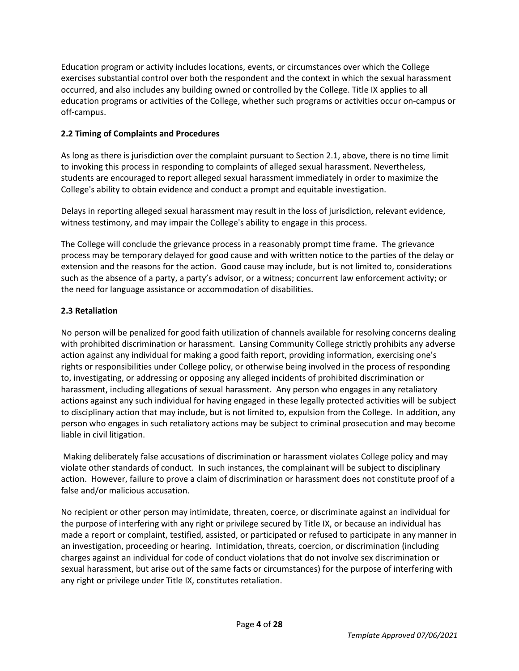Education program or activity includes locations, events, or circumstances over which the College exercises substantial control over both the respondent and the context in which the sexual harassment occurred, and also includes any building owned or controlled by the College. Title IX applies to all education programs or activities of the College, whether such programs or activities occur on-campus or off-campus.

## **2.2 Timing of Complaints and Procedures**

As long as there is jurisdiction over the complaint pursuant to Section 2.1, above, there is no time limit to invoking this process in responding to complaints of alleged sexual harassment. Nevertheless, students are encouraged to report alleged sexual harassment immediately in order to maximize the College's ability to obtain evidence and conduct a prompt and equitable investigation.

Delays in reporting alleged sexual harassment may result in the loss of jurisdiction, relevant evidence, witness testimony, and may impair the College's ability to engage in this process.

The College will conclude the grievance process in a reasonably prompt time frame. The grievance process may be temporary delayed for good cause and with written notice to the parties of the delay or extension and the reasons for the action. Good cause may include, but is not limited to, considerations such as the absence of a party, a party's advisor, or a witness; concurrent law enforcement activity; or the need for language assistance or accommodation of disabilities.

## **2.3 Retaliation**

No person will be penalized for good faith utilization of channels available for resolving concerns dealing with prohibited discrimination or harassment. Lansing Community College strictly prohibits any adverse action against any individual for making a good faith report, providing information, exercising one's rights or responsibilities under College policy, or otherwise being involved in the process of responding to, investigating, or addressing or opposing any alleged incidents of prohibited discrimination or harassment, including allegations of sexual harassment. Any person who engages in any retaliatory actions against any such individual for having engaged in these legally protected activities will be subject to disciplinary action that may include, but is not limited to, expulsion from the College. In addition, any person who engages in such retaliatory actions may be subject to criminal prosecution and may become liable in civil litigation.

Making deliberately false accusations of discrimination or harassment violates College policy and may violate other standards of conduct. In such instances, the complainant will be subject to disciplinary action. However, failure to prove a claim of discrimination or harassment does not constitute proof of a false and/or malicious accusation.

No recipient or other person may intimidate, threaten, coerce, or discriminate against an individual for the purpose of interfering with any right or privilege secured by Title IX, or because an individual has made a report or complaint, testified, assisted, or participated or refused to participate in any manner in an investigation, proceeding or hearing. Intimidation, threats, coercion, or discrimination (including charges against an individual for code of conduct violations that do not involve sex discrimination or sexual harassment, but arise out of the same facts or circumstances) for the purpose of interfering with any right or privilege under Title IX, constitutes retaliation.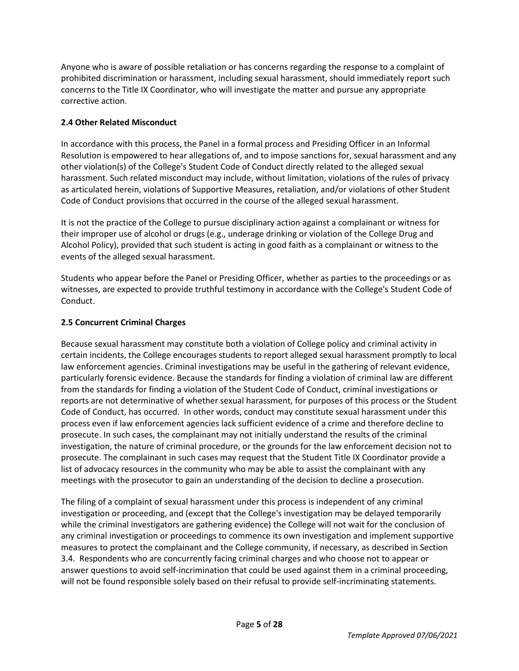Anyone who is aware of possible retaliation or has concerns regarding the response to a complaint of prohibited discrimination or harassment, including sexual harassment, should immediately report such concerns to the Title IX Coordinator, who will investigate the matter and pursue any appropriate corrective action.

## **2.4 Other Related Misconduct**

In accordance with this process, the Panel in a formal process and Presiding Officer in an Informal Resolution is empowered to hear allegations of, and to impose sanctions for, sexual harassment and any other violation(s) of the College's Student Code of Conduct directly related to the alleged sexual harassment. Such related misconduct may include, without limitation, violations of the rules of privacy as articulated herein, violations of Supportive Measures, retaliation, and/or violations of other Student Code of Conduct provisions that occurred in the course of the alleged sexual harassment.

It is not the practice of the College to pursue disciplinary action against a complainant or witness for their improper use of alcohol or drugs (e.g., underage drinking or violation of the College Drug and Alcohol Policy), provided that such student is acting in good faith as a complainant or witness to the events of the alleged sexual harassment.

Students who appear before the Panel or Presiding Officer, whether as parties to the proceedings or as witnesses, are expected to provide truthful testimony in accordance with the College's Student Code of Conduct.

### **2.5 Concurrent Criminal Charges**

Because sexual harassment may constitute both a violation of College policy and criminal activity in certain incidents, the College encourages students to report alleged sexual harassment promptly to local law enforcement agencies. Criminal investigations may be useful in the gathering of relevant evidence, particularly forensic evidence. Because the standards for finding a violation of criminal law are different from the standards for finding a violation of the Student Code of Conduct, criminal investigations or reports are not determinative of whether sexual harassment, for purposes of this process or the Student Code of Conduct, has occurred. In other words, conduct may constitute sexual harassment under this process even if law enforcement agencies lack sufficient evidence of a crime and therefore decline to prosecute. In such cases, the complainant may not initially understand the results of the criminal investigation, the nature of criminal procedure, or the grounds for the law enforcement decision not to prosecute. The complainant in such cases may request that the Student Title IX Coordinator provide a list of advocacy resources in the community who may be able to assist the complainant with any meetings with the prosecutor to gain an understanding of the decision to decline a prosecution.

The filing of a complaint of sexual harassment under this process is independent of any criminal investigation or proceeding, and (except that the College's investigation may be delayed temporarily while the criminal investigators are gathering evidence) the College will not wait for the conclusion of any criminal investigation or proceedings to commence its own investigation and implement supportive measures to protect the complainant and the College community, if necessary, as described in Section 3.4. Respondents who are concurrently facing criminal charges and who choose not to appear or answer questions to avoid self-incrimination that could be used against them in a criminal proceeding, will not be found responsible solely based on their refusal to provide self-incriminating statements.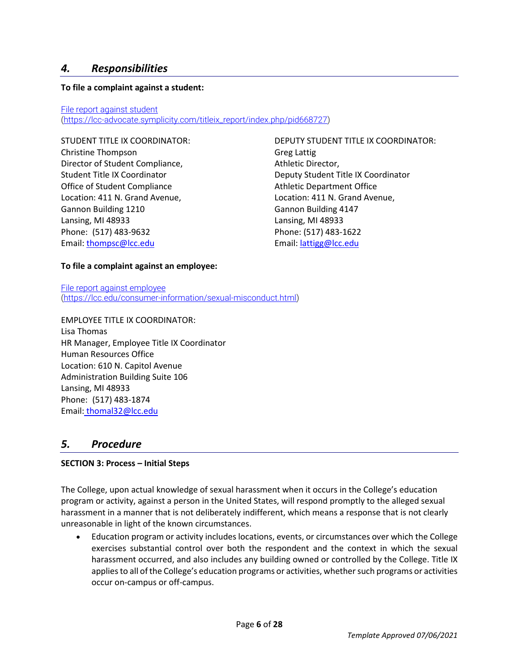## *4. Responsibilities*

#### **To file a complaint against a student:**

#### [File report against student](https://lcc-advocate.symplicity.com/titleix_report/index.php/pid679976?) [\(https://lcc-advocate.symplicity.com/titleix\\_report/index.php/pid668727\)](https://lcc-advocate.symplicity.com/titleix_report/index.php/pid668727)

Christine Thompson Greg Lattig Director of Student Compliance, and a settled at Athletic Director, Office of Student Compliance **Athletic Department Office** Location: 411 N. Grand Avenue, Location: 411 N. Grand Avenue, Gannon Building 1210 Gannon Building 4147 Lansing, MI 48933 Lansing, MI 48933 Phone: (517) 483-9632 Phone: (517) 483-1622 Email: [thompsc@lcc.edu](mailto:thompsc@lcc.edu) Email: [lattigg@lcc.edu](mailto:lattigg@lcc.edu)

STUDENT TITLE IX COORDINATOR: DEPUTY STUDENT TITLE IX COORDINATOR: Student Title IX Coordinator Deputy Student Title IX Coordinator

#### **To file a complaint against an employee:**

[File report against employee](https://lcc.edu/consumer-information/sexual-misconduct.html) [\(https://lcc.edu/consumer-information/sexual-misconduct.html\)](https://lcc.edu/consumer-information/sexual-misconduct.html)

EMPLOYEE TITLE IX COORDINATOR: Lisa Thomas HR Manager, Employee Title IX Coordinator Human Resources Office Location: 610 N. Capitol Avenue Administration Building Suite 106 Lansing, MI 48933 Phone: (517) 483-1874 Email: [thomal32@lcc.edu](mailto:thomal32@lcc.edu)

## *5. Procedure*

#### **SECTION 3: Process – Initial Steps**

The College, upon actual knowledge of sexual harassment when it occurs in the College's education program or activity, against a person in the United States, will respond promptly to the alleged sexual harassment in a manner that is not deliberately indifferent, which means a response that is not clearly unreasonable in light of the known circumstances.

• Education program or activity includes locations, events, or circumstances over which the College exercises substantial control over both the respondent and the context in which the sexual harassment occurred, and also includes any building owned or controlled by the College. Title IX applies to all of the College's education programs or activities, whether such programs or activities occur on-campus or off-campus.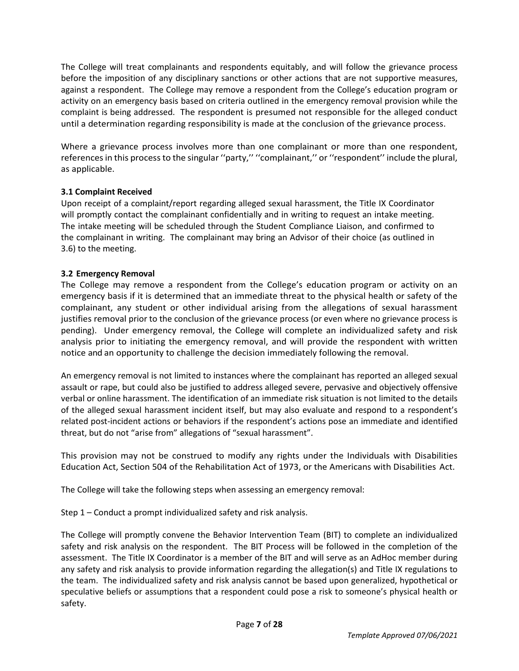The College will treat complainants and respondents equitably, and will follow the grievance process before the imposition of any disciplinary sanctions or other actions that are not supportive measures, against a respondent. The College may remove a respondent from the College's education program or activity on an emergency basis based on criteria outlined in the emergency removal provision while the complaint is being addressed. The respondent is presumed not responsible for the alleged conduct until a determination regarding responsibility is made at the conclusion of the grievance process.

Where a grievance process involves more than one complainant or more than one respondent, references in this process to the singular ''party,'' ''complainant,'' or ''respondent'' include the plural, as applicable.

### **3.1 Complaint Received**

Upon receipt of a complaint/report regarding alleged sexual harassment, the Title IX Coordinator will promptly contact the complainant confidentially and in writing to request an intake meeting. The intake meeting will be scheduled through the Student Compliance Liaison, and confirmed to the complainant in writing. The complainant may bring an Advisor of their choice (as outlined in 3.6) to the meeting.

#### **3.2 Emergency Removal**

The College may remove a respondent from the College's education program or activity on an emergency basis if it is determined that an immediate threat to the physical health or safety of the complainant, any student or other individual arising from the allegations of sexual harassment justifies removal prior to the conclusion of the grievance process (or even where no grievance process is pending). Under emergency removal, the College will complete an individualized safety and risk analysis prior to initiating the emergency removal, and will provide the respondent with written notice and an opportunity to challenge the decision immediately following the removal.

An emergency removal is not limited to instances where the complainant has reported an alleged sexual assault or rape, but could also be justified to address alleged severe, pervasive and objectively offensive verbal or online harassment. The identification of an immediate risk situation is not limited to the details of the alleged sexual harassment incident itself, but may also evaluate and respond to a respondent's related post-incident actions or behaviors if the respondent's actions pose an immediate and identified threat, but do not "arise from" allegations of "sexual harassment".

This provision may not be construed to modify any rights under the Individuals with Disabilities Education Act, Section 504 of the Rehabilitation Act of 1973, or the Americans with Disabilities Act.

The College will take the following steps when assessing an emergency removal:

Step 1 – Conduct a prompt individualized safety and risk analysis.

The College will promptly convene the Behavior Intervention Team (BIT) to complete an individualized safety and risk analysis on the respondent. The BIT Process will be followed in the completion of the assessment. The Title IX Coordinator is a member of the BIT and will serve as an AdHoc member during any safety and risk analysis to provide information regarding the allegation(s) and Title IX regulations to the team. The individualized safety and risk analysis cannot be based upon generalized, hypothetical or speculative beliefs or assumptions that a respondent could pose a risk to someone's physical health or safety.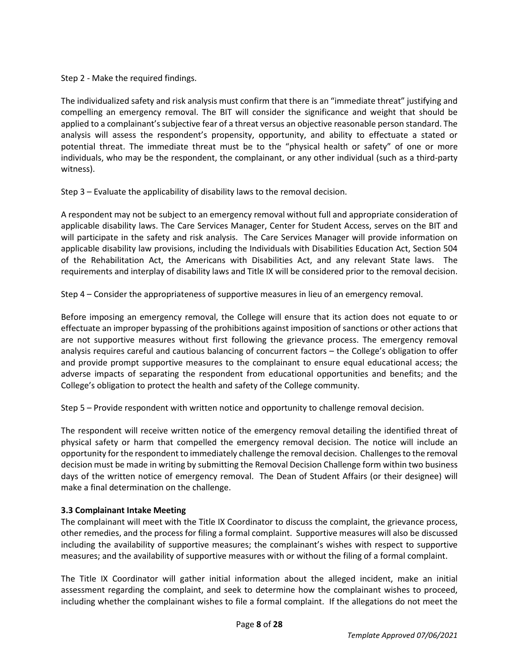Step 2 - Make the required findings.

The individualized safety and risk analysis must confirm that there is an "immediate threat" justifying and compelling an emergency removal. The BIT will consider the significance and weight that should be applied to a complainant's subjective fear of a threat versus an objective reasonable person standard. The analysis will assess the respondent's propensity, opportunity, and ability to effectuate a stated or potential threat. The immediate threat must be to the "physical health or safety" of one or more individuals, who may be the respondent, the complainant, or any other individual (such as a third-party witness).

Step 3 – Evaluate the applicability of disability laws to the removal decision.

A respondent may not be subject to an emergency removal without full and appropriate consideration of applicable disability laws. The Care Services Manager, Center for Student Access, serves on the BIT and will participate in the safety and risk analysis. The Care Services Manager will provide information on applicable disability law provisions, including the Individuals with Disabilities Education Act, Section 504 of the Rehabilitation Act, the Americans with Disabilities Act, and any relevant State laws. The requirements and interplay of disability laws and Title IX will be considered prior to the removal decision.

Step 4 – Consider the appropriateness of supportive measures in lieu of an emergency removal.

Before imposing an emergency removal, the College will ensure that its action does not equate to or effectuate an improper bypassing of the prohibitions against imposition of sanctions or other actions that are not supportive measures without first following the grievance process. The emergency removal analysis requires careful and cautious balancing of concurrent factors – the College's obligation to offer and provide prompt supportive measures to the complainant to ensure equal educational access; the adverse impacts of separating the respondent from educational opportunities and benefits; and the College's obligation to protect the health and safety of the College community.

Step 5 – Provide respondent with written notice and opportunity to challenge removal decision.

The respondent will receive written notice of the emergency removal detailing the identified threat of physical safety or harm that compelled the emergency removal decision. The notice will include an opportunity for the respondent to immediately challenge the removal decision. Challenges to the removal decision must be made in writing by submitting the Removal Decision Challenge form within two business days of the written notice of emergency removal. The Dean of Student Affairs (or their designee) will make a final determination on the challenge.

### **3.3 Complainant Intake Meeting**

The complainant will meet with the Title IX Coordinator to discuss the complaint, the grievance process, other remedies, and the process for filing a formal complaint. Supportive measures will also be discussed including the availability of supportive measures; the complainant's wishes with respect to supportive measures; and the availability of supportive measures with or without the filing of a formal complaint.

The Title IX Coordinator will gather initial information about the alleged incident, make an initial assessment regarding the complaint, and seek to determine how the complainant wishes to proceed, including whether the complainant wishes to file a formal complaint. If the allegations do not meet the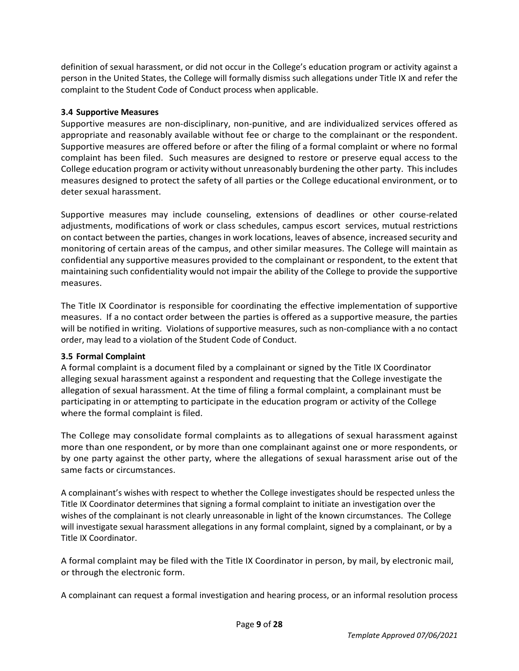definition of sexual harassment, or did not occur in the College's education program or activity against a person in the United States, the College will formally dismiss such allegations under Title IX and refer the complaint to the Student Code of Conduct process when applicable.

#### **3.4 Supportive Measures**

Supportive measures are non-disciplinary, non-punitive, and are individualized services offered as appropriate and reasonably available without fee or charge to the complainant or the respondent. Supportive measures are offered before or after the filing of a formal complaint or where no formal complaint has been filed. Such measures are designed to restore or preserve equal access to the College education program or activity without unreasonably burdening the other party. This includes measures designed to protect the safety of all parties or the College educational environment, or to deter sexual harassment.

Supportive measures may include counseling, extensions of deadlines or other course-related adjustments, modifications of work or class schedules, campus escort services, mutual restrictions on contact between the parties, changes in work locations, leaves of absence, increased security and monitoring of certain areas of the campus, and other similar measures. The College will maintain as confidential any supportive measures provided to the complainant or respondent, to the extent that maintaining such confidentiality would not impair the ability of the College to provide the supportive measures.

The Title IX Coordinator is responsible for coordinating the effective implementation of supportive measures. If a no contact order between the parties is offered as a supportive measure, the parties will be notified in writing. Violations of supportive measures, such as non-compliance with a no contact order, may lead to a violation of the Student Code of Conduct.

### **3.5 Formal Complaint**

A formal complaint is a document filed by a complainant or signed by the Title IX Coordinator alleging sexual harassment against a respondent and requesting that the College investigate the allegation of sexual harassment. At the time of filing a formal complaint, a complainant must be participating in or attempting to participate in the education program or activity of the College where the formal complaint is filed.

The College may consolidate formal complaints as to allegations of sexual harassment against more than one respondent, or by more than one complainant against one or more respondents, or by one party against the other party, where the allegations of sexual harassment arise out of the same facts or circumstances.

A complainant's wishes with respect to whether the College investigates should be respected unless the Title IX Coordinator determines that signing a formal complaint to initiate an investigation over the wishes of the complainant is not clearly unreasonable in light of the known circumstances. The College will investigate sexual harassment allegations in any formal complaint, signed by a complainant, or by a Title IX Coordinator.

A formal complaint may be filed with the Title IX Coordinator in person, by mail, by electronic mail, or through the electronic form.

A complainant can request a formal investigation and hearing process, or an informal resolution process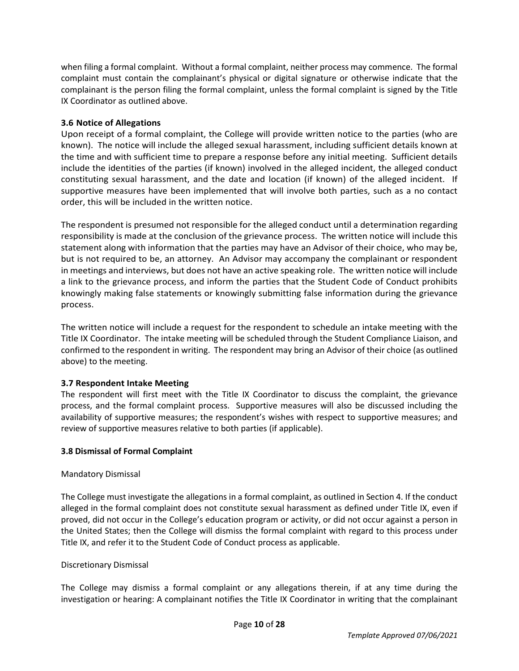when filing a formal complaint. Without a formal complaint, neither process may commence. The formal complaint must contain the complainant's physical or digital signature or otherwise indicate that the complainant is the person filing the formal complaint, unless the formal complaint is signed by the Title IX Coordinator as outlined above.

#### **3.6 Notice of Allegations**

Upon receipt of a formal complaint, the College will provide written notice to the parties (who are known). The notice will include the alleged sexual harassment, including sufficient details known at the time and with sufficient time to prepare a response before any initial meeting. Sufficient details include the identities of the parties (if known) involved in the alleged incident, the alleged conduct constituting sexual harassment, and the date and location (if known) of the alleged incident. If supportive measures have been implemented that will involve both parties, such as a no contact order, this will be included in the written notice.

The respondent is presumed not responsible for the alleged conduct until a determination regarding responsibility is made at the conclusion of the grievance process. The written notice will include this statement along with information that the parties may have an Advisor of their choice, who may be, but is not required to be, an attorney. An Advisor may accompany the complainant or respondent in meetings and interviews, but does not have an active speaking role. The written notice will include a link to the grievance process, and inform the parties that the Student Code of Conduct prohibits knowingly making false statements or knowingly submitting false information during the grievance process.

The written notice will include a request for the respondent to schedule an intake meeting with the Title IX Coordinator. The intake meeting will be scheduled through the Student Compliance Liaison, and confirmed to the respondent in writing. The respondent may bring an Advisor of their choice (as outlined above) to the meeting.

#### **3.7 Respondent Intake Meeting**

The respondent will first meet with the Title IX Coordinator to discuss the complaint, the grievance process, and the formal complaint process. Supportive measures will also be discussed including the availability of supportive measures; the respondent's wishes with respect to supportive measures; and review of supportive measures relative to both parties (if applicable).

#### **3.8 Dismissal of Formal Complaint**

#### Mandatory Dismissal

The College must investigate the allegations in a formal complaint, as outlined in Section 4. If the conduct alleged in the formal complaint does not constitute sexual harassment as defined under Title IX, even if proved, did not occur in the College's education program or activity, or did not occur against a person in the United States; then the College will dismiss the formal complaint with regard to this process under Title IX, and refer it to the Student Code of Conduct process as applicable.

#### Discretionary Dismissal

The College may dismiss a formal complaint or any allegations therein, if at any time during the investigation or hearing: A complainant notifies the Title IX Coordinator in writing that the complainant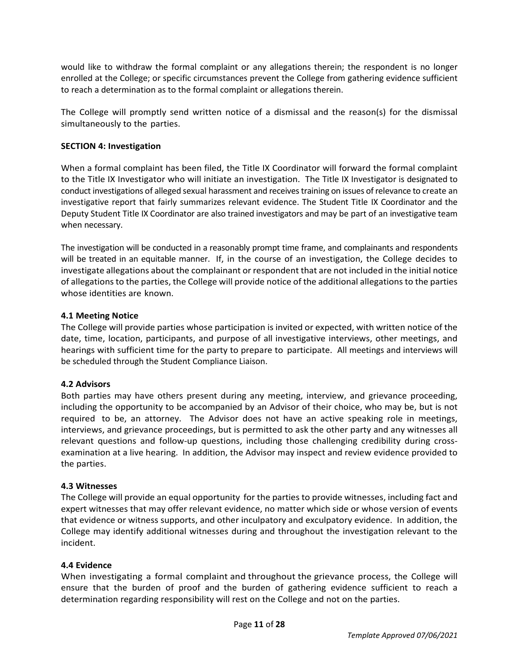would like to withdraw the formal complaint or any allegations therein; the respondent is no longer enrolled at the College; or specific circumstances prevent the College from gathering evidence sufficient to reach a determination as to the formal complaint or allegations therein.

The College will promptly send written notice of a dismissal and the reason(s) for the dismissal simultaneously to the parties.

#### **SECTION 4: Investigation**

When a formal complaint has been filed, the Title IX Coordinator will forward the formal complaint to the Title IX Investigator who will initiate an investigation. The Title IX Investigator is designated to conduct investigations of alleged sexual harassment and receives training on issues of relevance to create an investigative report that fairly summarizes relevant evidence. The Student Title IX Coordinator and the Deputy Student Title IX Coordinator are also trained investigators and may be part of an investigative team when necessary.

The investigation will be conducted in a reasonably prompt time frame, and complainants and respondents will be treated in an equitable manner. If, in the course of an investigation, the College decides to investigate allegations about the complainant or respondent that are not included in the initial notice of allegations to the parties, the College will provide notice of the additional allegations to the parties whose identities are known.

#### **4.1 Meeting Notice**

The College will provide parties whose participation is invited or expected, with written notice of the date, time, location, participants, and purpose of all investigative interviews, other meetings, and hearings with sufficient time for the party to prepare to participate. All meetings and interviews will be scheduled through the Student Compliance Liaison.

#### **4.2 Advisors**

Both parties may have others present during any meeting, interview, and grievance proceeding, including the opportunity to be accompanied by an Advisor of their choice, who may be, but is not required to be, an attorney. The Advisor does not have an active speaking role in meetings, interviews, and grievance proceedings, but is permitted to ask the other party and any witnesses all relevant questions and follow-up questions, including those challenging credibility during crossexamination at a live hearing. In addition, the Advisor may inspect and review evidence provided to the parties.

#### **4.3 Witnesses**

The College will provide an equal opportunity for the parties to provide witnesses, including fact and expert witnesses that may offer relevant evidence, no matter which side or whose version of events that evidence or witness supports, and other inculpatory and exculpatory evidence. In addition, the College may identify additional witnesses during and throughout the investigation relevant to the incident.

#### **4.4 Evidence**

When investigating a formal complaint and throughout the grievance process, the College will ensure that the burden of proof and the burden of gathering evidence sufficient to reach a determination regarding responsibility will rest on the College and not on the parties.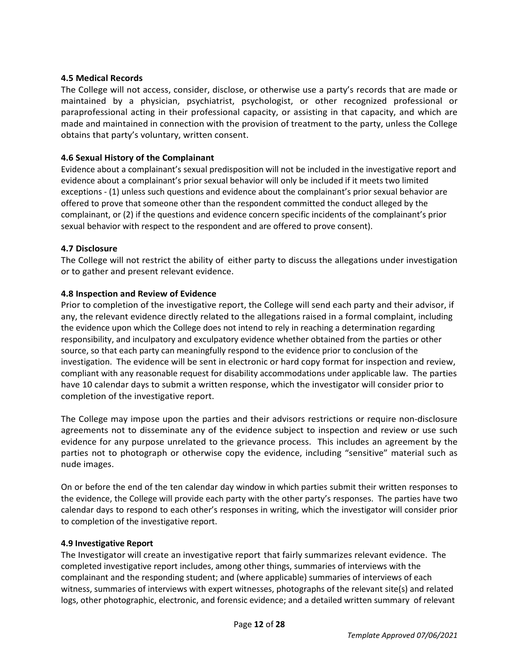#### **4.5 Medical Records**

The College will not access, consider, disclose, or otherwise use a party's records that are made or maintained by a physician, psychiatrist, psychologist, or other recognized professional or paraprofessional acting in their professional capacity, or assisting in that capacity, and which are made and maintained in connection with the provision of treatment to the party, unless the College obtains that party's voluntary, written consent.

#### **4.6 Sexual History of the Complainant**

Evidence about a complainant's sexual predisposition will not be included in the investigative report and evidence about a complainant's prior sexual behavior will only be included if it meets two limited exceptions - (1) unless such questions and evidence about the complainant's prior sexual behavior are offered to prove that someone other than the respondent committed the conduct alleged by the complainant, or (2) if the questions and evidence concern specific incidents of the complainant's prior sexual behavior with respect to the respondent and are offered to prove consent).

#### **4.7 Disclosure**

The College will not restrict the ability of either party to discuss the allegations under investigation or to gather and present relevant evidence.

#### **4.8 Inspection and Review of Evidence**

Prior to completion of the investigative report, the College will send each party and their advisor, if any, the relevant evidence directly related to the allegations raised in a formal complaint, including the evidence upon which the College does not intend to rely in reaching a determination regarding responsibility, and inculpatory and exculpatory evidence whether obtained from the parties or other source, so that each party can meaningfully respond to the evidence prior to conclusion of the investigation. The evidence will be sent in electronic or hard copy format for inspection and review, compliant with any reasonable request for disability accommodations under applicable law. The parties have 10 calendar days to submit a written response, which the investigator will consider prior to completion of the investigative report.

The College may impose upon the parties and their advisors restrictions or require non-disclosure agreements not to disseminate any of the evidence subject to inspection and review or use such evidence for any purpose unrelated to the grievance process. This includes an agreement by the parties not to photograph or otherwise copy the evidence, including "sensitive" material such as nude images.

On or before the end of the ten calendar day window in which parties submit their written responses to the evidence, the College will provide each party with the other party's responses. The parties have two calendar days to respond to each other's responses in writing, which the investigator will consider prior to completion of the investigative report.

#### **4.9 Investigative Report**

The Investigator will create an investigative report that fairly summarizes relevant evidence. The completed investigative report includes, among other things, summaries of interviews with the complainant and the responding student; and (where applicable) summaries of interviews of each witness, summaries of interviews with expert witnesses, photographs of the relevant site(s) and related logs, other photographic, electronic, and forensic evidence; and a detailed written summary of relevant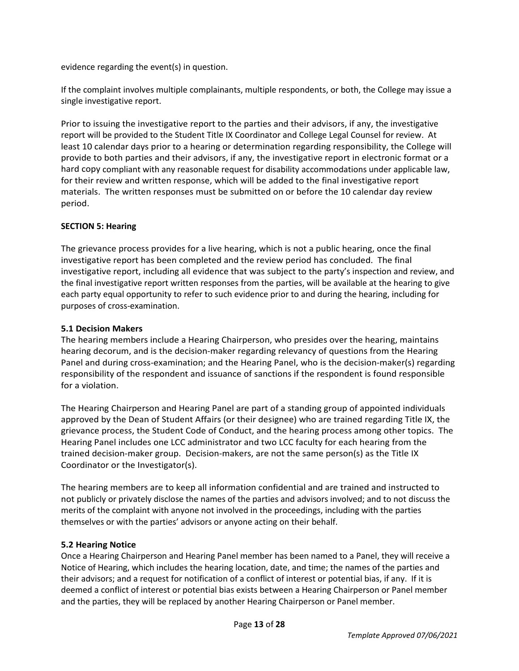evidence regarding the event(s) in question.

If the complaint involves multiple complainants, multiple respondents, or both, the College may issue a single investigative report.

Prior to issuing the investigative report to the parties and their advisors, if any, the investigative report will be provided to the Student Title IX Coordinator and College Legal Counsel for review. At least 10 calendar days prior to a hearing or determination regarding responsibility, the College will provide to both parties and their advisors, if any, the investigative report in electronic format or a hard copy compliant with any reasonable request for disability accommodations under applicable law, for their review and written response, which will be added to the final investigative report materials. The written responses must be submitted on or before the 10 calendar day review period.

### **SECTION 5: Hearing**

The grievance process provides for a live hearing, which is not a public hearing, once the final investigative report has been completed and the review period has concluded. The final investigative report, including all evidence that was subject to the party's inspection and review, and the final investigative report written responses from the parties, will be available at the hearing to give each party equal opportunity to refer to such evidence prior to and during the hearing, including for purposes of cross-examination.

#### **5.1 Decision Makers**

The hearing members include a Hearing Chairperson, who presides over the hearing, maintains hearing decorum, and is the decision-maker regarding relevancy of questions from the Hearing Panel and during cross-examination; and the Hearing Panel, who is the decision-maker(s) regarding responsibility of the respondent and issuance of sanctions if the respondent is found responsible for a violation.

The Hearing Chairperson and Hearing Panel are part of a standing group of appointed individuals approved by the Dean of Student Affairs (or their designee) who are trained regarding Title IX, the grievance process, the Student Code of Conduct, and the hearing process among other topics. The Hearing Panel includes one LCC administrator and two LCC faculty for each hearing from the trained decision-maker group. Decision-makers, are not the same person(s) as the Title IX Coordinator or the Investigator(s).

The hearing members are to keep all information confidential and are trained and instructed to not publicly or privately disclose the names of the parties and advisors involved; and to not discuss the merits of the complaint with anyone not involved in the proceedings, including with the parties themselves or with the parties' advisors or anyone acting on their behalf.

#### **5.2 Hearing Notice**

Once a Hearing Chairperson and Hearing Panel member has been named to a Panel, they will receive a Notice of Hearing, which includes the hearing location, date, and time; the names of the parties and their advisors; and a request for notification of a conflict of interest or potential bias, if any. If it is deemed a conflict of interest or potential bias exists between a Hearing Chairperson or Panel member and the parties, they will be replaced by another Hearing Chairperson or Panel member.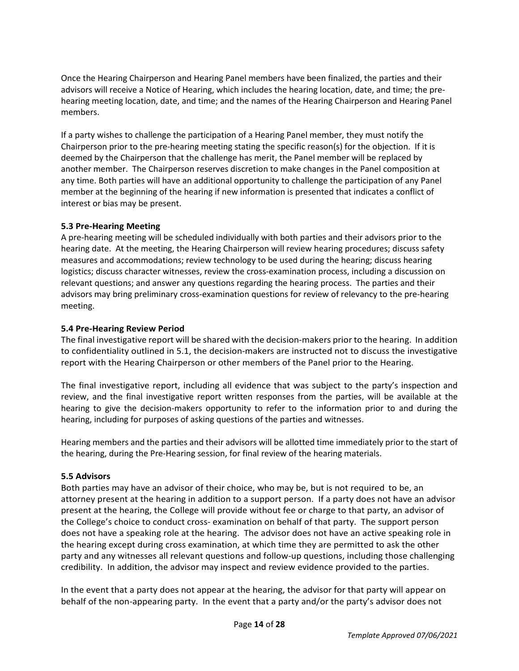Once the Hearing Chairperson and Hearing Panel members have been finalized, the parties and their advisors will receive a Notice of Hearing, which includes the hearing location, date, and time; the prehearing meeting location, date, and time; and the names of the Hearing Chairperson and Hearing Panel members.

If a party wishes to challenge the participation of a Hearing Panel member, they must notify the Chairperson prior to the pre-hearing meeting stating the specific reason(s) for the objection. If it is deemed by the Chairperson that the challenge has merit, the Panel member will be replaced by another member. The Chairperson reserves discretion to make changes in the Panel composition at any time. Both parties will have an additional opportunity to challenge the participation of any Panel member at the beginning of the hearing if new information is presented that indicates a conflict of interest or bias may be present.

#### **5.3 Pre-Hearing Meeting**

A pre-hearing meeting will be scheduled individually with both parties and their advisors prior to the hearing date. At the meeting, the Hearing Chairperson will review hearing procedures; discuss safety measures and accommodations; review technology to be used during the hearing; discuss hearing logistics; discuss character witnesses, review the cross-examination process, including a discussion on relevant questions; and answer any questions regarding the hearing process. The parties and their advisors may bring preliminary cross-examination questions for review of relevancy to the pre-hearing meeting.

#### **5.4 Pre-Hearing Review Period**

The final investigative report will be shared with the decision-makers prior to the hearing. In addition to confidentiality outlined in 5.1, the decision-makers are instructed not to discuss the investigative report with the Hearing Chairperson or other members of the Panel prior to the Hearing.

The final investigative report, including all evidence that was subject to the party's inspection and review, and the final investigative report written responses from the parties, will be available at the hearing to give the decision-makers opportunity to refer to the information prior to and during the hearing, including for purposes of asking questions of the parties and witnesses.

Hearing members and the parties and their advisors will be allotted time immediately prior to the start of the hearing, during the Pre-Hearing session, for final review of the hearing materials.

#### **5.5 Advisors**

Both parties may have an advisor of their choice, who may be, but is not required to be, an attorney present at the hearing in addition to a support person. If a party does not have an advisor present at the hearing, the College will provide without fee or charge to that party, an advisor of the College's choice to conduct cross- examination on behalf of that party. The support person does not have a speaking role at the hearing. The advisor does not have an active speaking role in the hearing except during cross examination, at which time they are permitted to ask the other party and any witnesses all relevant questions and follow-up questions, including those challenging credibility. In addition, the advisor may inspect and review evidence provided to the parties.

In the event that a party does not appear at the hearing, the advisor for that party will appear on behalf of the non-appearing party. In the event that a party and/or the party's advisor does not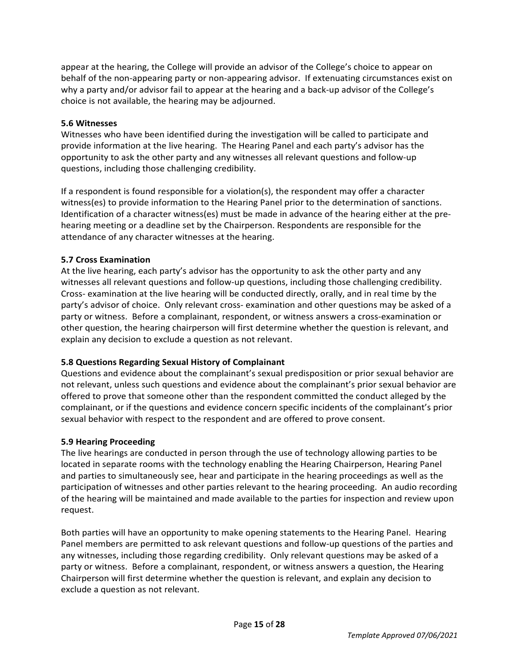appear at the hearing, the College will provide an advisor of the College's choice to appear on behalf of the non-appearing party or non-appearing advisor. If extenuating circumstances exist on why a party and/or advisor fail to appear at the hearing and a back-up advisor of the College's choice is not available, the hearing may be adjourned.

#### **5.6 Witnesses**

Witnesses who have been identified during the investigation will be called to participate and provide information at the live hearing. The Hearing Panel and each party's advisor has the opportunity to ask the other party and any witnesses all relevant questions and follow-up questions, including those challenging credibility.

If a respondent is found responsible for a violation(s), the respondent may offer a character witness(es) to provide information to the Hearing Panel prior to the determination of sanctions. Identification of a character witness(es) must be made in advance of the hearing either at the prehearing meeting or a deadline set by the Chairperson. Respondents are responsible for the attendance of any character witnesses at the hearing.

#### **5.7 Cross Examination**

At the live hearing, each party's advisor has the opportunity to ask the other party and any witnesses all relevant questions and follow-up questions, including those challenging credibility. Cross- examination at the live hearing will be conducted directly, orally, and in real time by the party's advisor of choice. Only relevant cross- examination and other questions may be asked of a party or witness. Before a complainant, respondent, or witness answers a cross-examination or other question, the hearing chairperson will first determine whether the question is relevant, and explain any decision to exclude a question as not relevant.

### **5.8 Questions Regarding Sexual History of Complainant**

Questions and evidence about the complainant's sexual predisposition or prior sexual behavior are not relevant, unless such questions and evidence about the complainant's prior sexual behavior are offered to prove that someone other than the respondent committed the conduct alleged by the complainant, or if the questions and evidence concern specific incidents of the complainant's prior sexual behavior with respect to the respondent and are offered to prove consent.

#### **5.9 Hearing Proceeding**

The live hearings are conducted in person through the use of technology allowing parties to be located in separate rooms with the technology enabling the Hearing Chairperson, Hearing Panel and parties to simultaneously see, hear and participate in the hearing proceedings as well as the participation of witnesses and other parties relevant to the hearing proceeding. An audio recording of the hearing will be maintained and made available to the parties for inspection and review upon request.

Both parties will have an opportunity to make opening statements to the Hearing Panel. Hearing Panel members are permitted to ask relevant questions and follow-up questions of the parties and any witnesses, including those regarding credibility. Only relevant questions may be asked of a party or witness. Before a complainant, respondent, or witness answers a question, the Hearing Chairperson will first determine whether the question is relevant, and explain any decision to exclude a question as not relevant.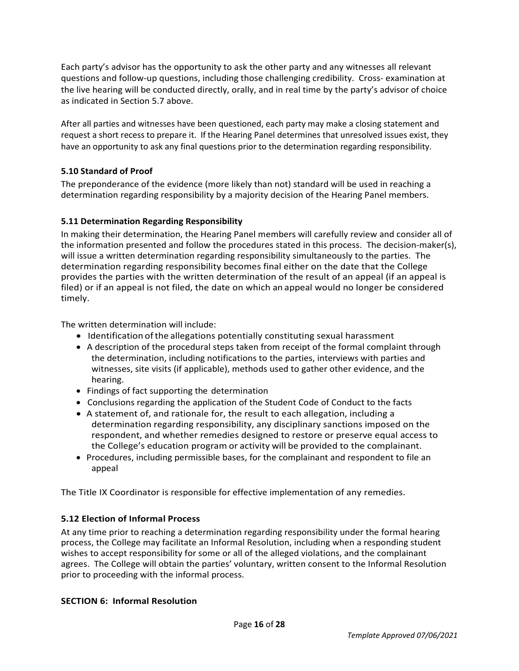Each party's advisor has the opportunity to ask the other party and any witnesses all relevant questions and follow-up questions, including those challenging credibility. Cross- examination at the live hearing will be conducted directly, orally, and in real time by the party's advisor of choice as indicated in Section 5.7 above.

After all parties and witnesses have been questioned, each party may make a closing statement and request a short recess to prepare it. If the Hearing Panel determines that unresolved issues exist, they have an opportunity to ask any final questions prior to the determination regarding responsibility.

## **5.10 Standard of Proof**

The preponderance of the evidence (more likely than not) standard will be used in reaching a determination regarding responsibility by a majority decision of the Hearing Panel members.

### **5.11 Determination Regarding Responsibility**

In making their determination, the Hearing Panel members will carefully review and consider all of the information presented and follow the procedures stated in this process. The decision-maker(s), will issue a written determination regarding responsibility simultaneously to the parties. The determination regarding responsibility becomes final either on the date that the College provides the parties with the written determination of the result of an appeal (if an appeal is filed) or if an appeal is not filed, the date on which an appeal would no longer be considered timely.

The written determination will include:

- Identification ofthe allegations potentially constituting sexual harassment
- A description of the procedural steps taken from receipt of the formal complaint through the determination, including notifications to the parties, interviews with parties and witnesses, site visits (if applicable), methods used to gather other evidence, and the hearing.
- Findings of fact supporting the determination
- Conclusions regarding the application of the Student Code of Conduct to the facts
- A statement of, and rationale for, the result to each allegation, including a determination regarding responsibility, any disciplinary sanctions imposed on the respondent, and whether remedies designed to restore or preserve equal access to the College's education program or activity will be provided to the complainant.
- Procedures, including permissible bases, for the complainant and respondent to file an appeal

The Title IX Coordinator is responsible for effective implementation of any remedies.

### **5.12 Election of Informal Process**

At any time prior to reaching a determination regarding responsibility under the formal hearing process, the College may facilitate an Informal Resolution, including when a responding student wishes to accept responsibility for some or all of the alleged violations, and the complainant agrees. The College will obtain the parties' voluntary, written consent to the Informal Resolution prior to proceeding with the informal process.

### **SECTION 6: Informal Resolution**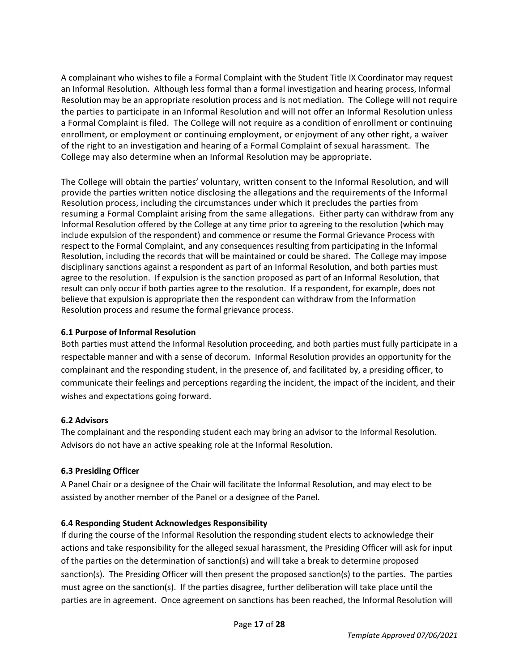A complainant who wishes to file a Formal Complaint with the Student Title IX Coordinator may request an Informal Resolution. Although less formal than a formal investigation and hearing process, Informal Resolution may be an appropriate resolution process and is not mediation. The College will not require the parties to participate in an Informal Resolution and will not offer an Informal Resolution unless a Formal Complaint is filed. The College will not require as a condition of enrollment or continuing enrollment, or employment or continuing employment, or enjoyment of any other right, a waiver of the right to an investigation and hearing of a Formal Complaint of sexual harassment. The College may also determine when an Informal Resolution may be appropriate.

The College will obtain the parties' voluntary, written consent to the Informal Resolution, and will provide the parties written notice disclosing the allegations and the requirements of the Informal Resolution process, including the circumstances under which it precludes the parties from resuming a Formal Complaint arising from the same allegations. Either party can withdraw from any Informal Resolution offered by the College at any time prior to agreeing to the resolution (which may include expulsion of the respondent) and commence or resume the Formal Grievance Process with respect to the Formal Complaint, and any consequences resulting from participating in the Informal Resolution, including the records that will be maintained or could be shared. The College may impose disciplinary sanctions against a respondent as part of an Informal Resolution, and both parties must agree to the resolution. If expulsion is the sanction proposed as part of an Informal Resolution, that result can only occur if both parties agree to the resolution. If a respondent, for example, does not believe that expulsion is appropriate then the respondent can withdraw from the Information Resolution process and resume the formal grievance process.

## **6.1 Purpose of Informal Resolution**

Both parties must attend the Informal Resolution proceeding, and both parties must fully participate in a respectable manner and with a sense of decorum. Informal Resolution provides an opportunity for the complainant and the responding student, in the presence of, and facilitated by, a presiding officer, to communicate their feelings and perceptions regarding the incident, the impact of the incident, and their wishes and expectations going forward.

### **6.2 Advisors**

The complainant and the responding student each may bring an advisor to the Informal Resolution. Advisors do not have an active speaking role at the Informal Resolution.

## **6.3 Presiding Officer**

A Panel Chair or a designee of the Chair will facilitate the Informal Resolution, and may elect to be assisted by another member of the Panel or a designee of the Panel.

## **6.4 Responding Student Acknowledges Responsibility**

If during the course of the Informal Resolution the responding student elects to acknowledge their actions and take responsibility for the alleged sexual harassment, the Presiding Officer will ask for input of the parties on the determination of sanction(s) and will take a break to determine proposed sanction(s). The Presiding Officer will then present the proposed sanction(s) to the parties. The parties must agree on the sanction(s). If the parties disagree, further deliberation will take place until the parties are in agreement. Once agreement on sanctions has been reached, the Informal Resolution will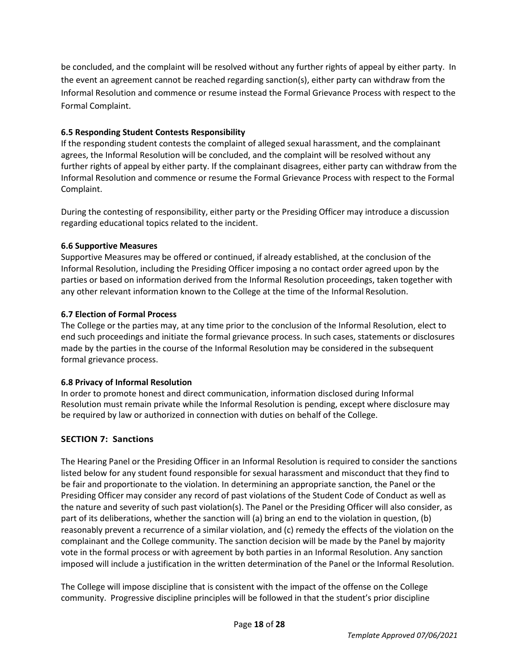be concluded, and the complaint will be resolved without any further rights of appeal by either party. In the event an agreement cannot be reached regarding sanction(s), either party can withdraw from the Informal Resolution and commence or resume instead the Formal Grievance Process with respect to the Formal Complaint.

## **6.5 Responding Student Contests Responsibility**

If the responding student contests the complaint of alleged sexual harassment, and the complainant agrees, the Informal Resolution will be concluded, and the complaint will be resolved without any further rights of appeal by either party. If the complainant disagrees, either party can withdraw from the Informal Resolution and commence or resume the Formal Grievance Process with respect to the Formal Complaint.

During the contesting of responsibility, either party or the Presiding Officer may introduce a discussion regarding educational topics related to the incident.

## **6.6 Supportive Measures**

Supportive Measures may be offered or continued, if already established, at the conclusion of the Informal Resolution, including the Presiding Officer imposing a no contact order agreed upon by the parties or based on information derived from the Informal Resolution proceedings, taken together with any other relevant information known to the College at the time of the Informal Resolution.

## **6.7 Election of Formal Process**

The College or the parties may, at any time prior to the conclusion of the Informal Resolution, elect to end such proceedings and initiate the formal grievance process. In such cases, statements or disclosures made by the parties in the course of the Informal Resolution may be considered in the subsequent formal grievance process.

### **6.8 Privacy of Informal Resolution**

In order to promote honest and direct communication, information disclosed during Informal Resolution must remain private while the Informal Resolution is pending, except where disclosure may be required by law or authorized in connection with duties on behalf of the College.

## **SECTION 7: Sanctions**

The Hearing Panel or the Presiding Officer in an Informal Resolution is required to consider the sanctions listed below for any student found responsible for sexual harassment and misconduct that they find to be fair and proportionate to the violation. In determining an appropriate sanction, the Panel or the Presiding Officer may consider any record of past violations of the Student Code of Conduct as well as the nature and severity of such past violation(s). The Panel or the Presiding Officer will also consider, as part of its deliberations, whether the sanction will (a) bring an end to the violation in question, (b) reasonably prevent a recurrence of a similar violation, and (c) remedy the effects of the violation on the complainant and the College community. The sanction decision will be made by the Panel by majority vote in the formal process or with agreement by both parties in an Informal Resolution. Any sanction imposed will include a justification in the written determination of the Panel or the Informal Resolution.

The College will impose discipline that is consistent with the impact of the offense on the College community. Progressive discipline principles will be followed in that the student's prior discipline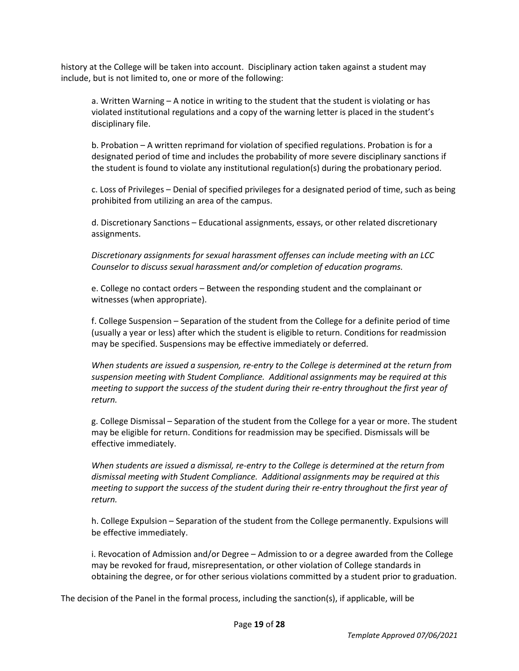history at the College will be taken into account. Disciplinary action taken against a student may include, but is not limited to, one or more of the following:

a. Written Warning – A notice in writing to the student that the student is violating or has violated institutional regulations and a copy of the warning letter is placed in the student's disciplinary file.

b. Probation – A written reprimand for violation of specified regulations. Probation is for a designated period of time and includes the probability of more severe disciplinary sanctions if the student is found to violate any institutional regulation(s) during the probationary period.

c. Loss of Privileges – Denial of specified privileges for a designated period of time, such as being prohibited from utilizing an area of the campus.

d. Discretionary Sanctions – Educational assignments, essays, or other related discretionary assignments.

*Discretionary assignments for sexual harassment offenses can include meeting with an LCC Counselor to discuss sexual harassment and/or completion of education programs.*

e. College no contact orders – Between the responding student and the complainant or witnesses (when appropriate).

f. College Suspension – Separation of the student from the College for a definite period of time (usually a year or less) after which the student is eligible to return. Conditions for readmission may be specified. Suspensions may be effective immediately or deferred.

*When students are issued a suspension, re-entry to the College is determined at the return from suspension meeting with Student Compliance. Additional assignments may be required at this meeting to support the success of the student during their re-entry throughout the first year of return.* 

g. College Dismissal – Separation of the student from the College for a year or more. The student may be eligible for return. Conditions for readmission may be specified. Dismissals will be effective immediately.

*When students are issued a dismissal, re-entry to the College is determined at the return from dismissal meeting with Student Compliance. Additional assignments may be required at this meeting to support the success of the student during their re-entry throughout the first year of return.* 

h. College Expulsion – Separation of the student from the College permanently. Expulsions will be effective immediately.

i. Revocation of Admission and/or Degree – Admission to or a degree awarded from the College may be revoked for fraud, misrepresentation, or other violation of College standards in obtaining the degree, or for other serious violations committed by a student prior to graduation.

The decision of the Panel in the formal process, including the sanction(s), if applicable, will be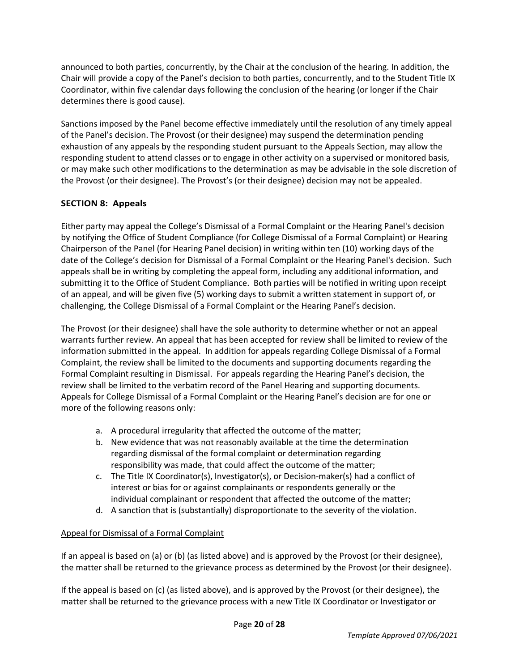announced to both parties, concurrently, by the Chair at the conclusion of the hearing. In addition, the Chair will provide a copy of the Panel's decision to both parties, concurrently, and to the Student Title IX Coordinator, within five calendar days following the conclusion of the hearing (or longer if the Chair determines there is good cause).

Sanctions imposed by the Panel become effective immediately until the resolution of any timely appeal of the Panel's decision. The Provost (or their designee) may suspend the determination pending exhaustion of any appeals by the responding student pursuant to the Appeals Section, may allow the responding student to attend classes or to engage in other activity on a supervised or monitored basis, or may make such other modifications to the determination as may be advisable in the sole discretion of the Provost (or their designee). The Provost's (or their designee) decision may not be appealed.

## **SECTION 8: Appeals**

Either party may appeal the College's Dismissal of a Formal Complaint or the Hearing Panel's decision by notifying the Office of Student Compliance (for College Dismissal of a Formal Complaint) or Hearing Chairperson of the Panel (for Hearing Panel decision) in writing within ten (10) working days of the date of the College's decision for Dismissal of a Formal Complaint or the Hearing Panel's decision. Such appeals shall be in writing by completing the appeal form, including any additional information, and submitting it to the Office of Student Compliance. Both parties will be notified in writing upon receipt of an appeal, and will be given five (5) working days to submit a written statement in support of, or challenging, the College Dismissal of a Formal Complaint or the Hearing Panel's decision.

The Provost (or their designee) shall have the sole authority to determine whether or not an appeal warrants further review. An appeal that has been accepted for review shall be limited to review of the information submitted in the appeal. In addition for appeals regarding College Dismissal of a Formal Complaint, the review shall be limited to the documents and supporting documents regarding the Formal Complaint resulting in Dismissal. For appeals regarding the Hearing Panel's decision, the review shall be limited to the verbatim record of the Panel Hearing and supporting documents. Appeals for College Dismissal of a Formal Complaint or the Hearing Panel's decision are for one or more of the following reasons only:

- a. A procedural irregularity that affected the outcome of the matter;
- b. New evidence that was not reasonably available at the time the determination regarding dismissal of the formal complaint or determination regarding responsibility was made, that could affect the outcome of the matter;
- c. The Title IX Coordinator(s), Investigator(s), or Decision-maker(s) had a conflict of interest or bias for or against complainants or respondents generally or the individual complainant or respondent that affected the outcome of the matter;
- d. A sanction that is (substantially) disproportionate to the severity of the violation.

### Appeal for Dismissal of a Formal Complaint

If an appeal is based on (a) or (b) (as listed above) and is approved by the Provost (or their designee), the matter shall be returned to the grievance process as determined by the Provost (or their designee).

If the appeal is based on (c) (as listed above), and is approved by the Provost (or their designee), the matter shall be returned to the grievance process with a new Title IX Coordinator or Investigator or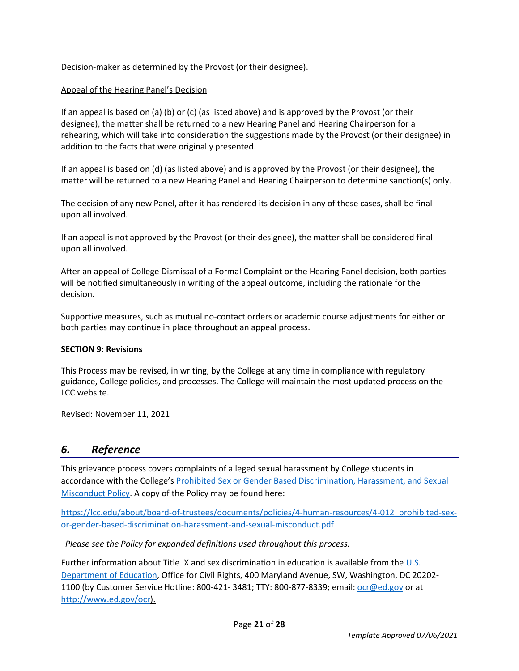Decision-maker as determined by the Provost (or their designee).

#### Appeal of the Hearing Panel's Decision

If an appeal is based on (a) (b) or (c) (as listed above) and is approved by the Provost (or their designee), the matter shall be returned to a new Hearing Panel and Hearing Chairperson for a rehearing, which will take into consideration the suggestions made by the Provost (or their designee) in addition to the facts that were originally presented.

If an appeal is based on (d) (as listed above) and is approved by the Provost (or their designee), the matter will be returned to a new Hearing Panel and Hearing Chairperson to determine sanction(s) only.

The decision of any new Panel, after it has rendered its decision in any of these cases, shall be final upon all involved.

If an appeal is not approved by the Provost (or their designee), the matter shall be considered final upon all involved.

After an appeal of College Dismissal of a Formal Complaint or the Hearing Panel decision, both parties will be notified simultaneously in writing of the appeal outcome, including the rationale for the decision.

Supportive measures, such as mutual no-contact orders or academic course adjustments for either or both parties may continue in place throughout an appeal process.

#### **SECTION 9: Revisions**

This Process may be revised, in writing, by the College at any time in compliance with regulatory guidance, College policies, and processes. The College will maintain the most updated process on the LCC website.

Revised: November 11, 2021

## *6. Reference*

This grievance process covers complaints of alleged sexual harassment by College students in accordance with the College's [Prohibited Sex or Gender Based Discrimination, Harassment, and Sexual](https://lcc.edu/about/board-of-trustees/documents/policies/4-human-resources/4-012_prohibited-sex-or-gender-based-discrimination-harassment-and-sexual-misconduct.pdf)  [Misconduct Policy.](https://lcc.edu/about/board-of-trustees/documents/policies/4-human-resources/4-012_prohibited-sex-or-gender-based-discrimination-harassment-and-sexual-misconduct.pdf) A copy of the Policy may be found here:

[https://lcc.edu/about/board-of-trustees/documents/policies/4-human-resources/4-012\\_prohibited-sex](https://lcc.edu/about/board-of-trustees/documents/policies/4-human-resources/4-012_prohibited-sex-or-gender-based-discrimination-harassment-and-sexual-misconduct.pdf)[or-gender-based-discrimination-harassment-and-sexual-misconduct.pdf](https://lcc.edu/about/board-of-trustees/documents/policies/4-human-resources/4-012_prohibited-sex-or-gender-based-discrimination-harassment-and-sexual-misconduct.pdf)

*Please see the Policy for expanded definitions used throughout this process.*

Further information about Title IX and sex discrimination in education is available from the U.S. [Department of Education,](http://www.ed.gov/ocr) Office for Civil Rights, 400 Maryland Avenue, SW, Washington, DC 20202- 1100 (by Customer Service Hotline: 800-421- 3481; TTY: 800-877-8339; email: [ocr@ed.gov](mailto:ocr@ed.gov) or at [http://www.ed.gov/ocr\)](http://www.ed.gov/ocr).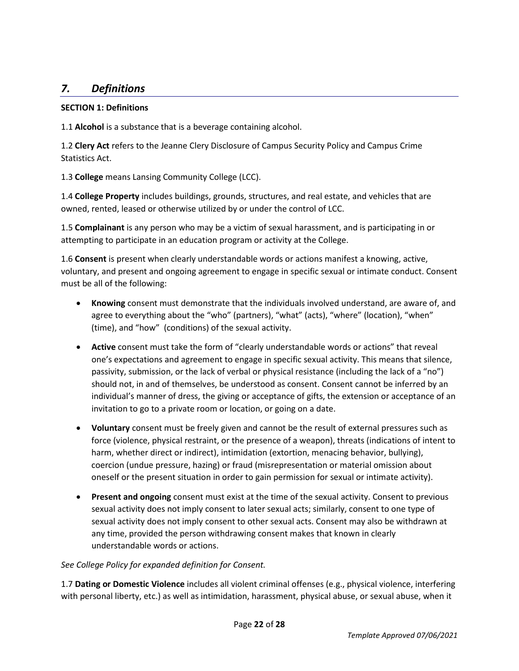## *7. Definitions*

#### **SECTION 1: Definitions**

1.1 **Alcohol** is a substance that is a beverage containing alcohol.

1.2 **Clery Act** refers to the Jeanne Clery Disclosure of Campus Security Policy and Campus Crime Statistics Act.

1.3 **College** means Lansing Community College (LCC).

1.4 **College Property** includes buildings, grounds, structures, and real estate, and vehicles that are owned, rented, leased or otherwise utilized by or under the control of LCC.

1.5 **Complainant** is any person who may be a victim of sexual harassment, and is participating in or attempting to participate in an education program or activity at the College.

1.6 **Consent** is present when clearly understandable words or actions manifest a knowing, active, voluntary, and present and ongoing agreement to engage in specific sexual or intimate conduct. Consent must be all of the following:

- **Knowing** consent must demonstrate that the individuals involved understand, are aware of, and agree to everything about the "who" (partners), "what" (acts), "where" (location), "when" (time), and "how" (conditions) of the sexual activity.
- **Active** consent must take the form of "clearly understandable words or actions" that reveal one's expectations and agreement to engage in specific sexual activity. This means that silence, passivity, submission, or the lack of verbal or physical resistance (including the lack of a "no") should not, in and of themselves, be understood as consent. Consent cannot be inferred by an individual's manner of dress, the giving or acceptance of gifts, the extension or acceptance of an invitation to go to a private room or location, or going on a date.
- **Voluntary** consent must be freely given and cannot be the result of external pressures such as force (violence, physical restraint, or the presence of a weapon), threats (indications of intent to harm, whether direct or indirect), intimidation (extortion, menacing behavior, bullying), coercion (undue pressure, hazing) or fraud (misrepresentation or material omission about oneself or the present situation in order to gain permission for sexual or intimate activity).
- **Present and ongoing** consent must exist at the time of the sexual activity. Consent to previous sexual activity does not imply consent to later sexual acts; similarly, consent to one type of sexual activity does not imply consent to other sexual acts. Consent may also be withdrawn at any time, provided the person withdrawing consent makes that known in clearly understandable words or actions.

#### *See College Policy for expanded definition for Consent.*

1.7 **Dating or Domestic Violence** includes all violent criminal offenses (e.g., physical violence, interfering with personal liberty, etc.) as well as intimidation, harassment, physical abuse, or sexual abuse, when it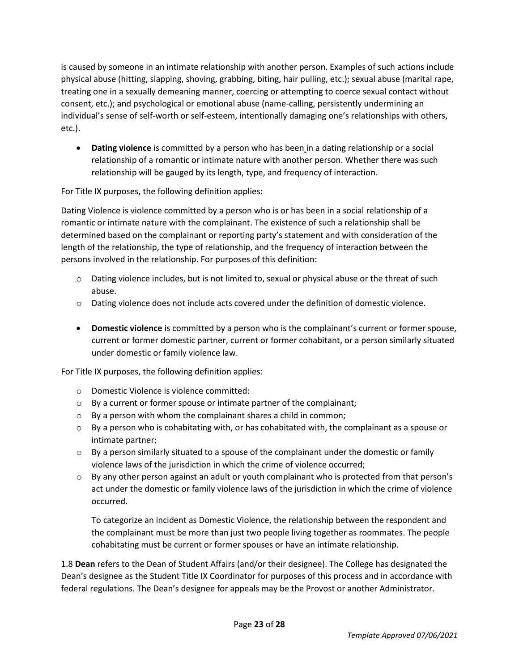is caused by someone in an intimate relationship with another person. Examples of such actions include physical abuse (hitting, slapping, shoving, grabbing, biting, hair pulling, etc.); sexual abuse (marital rape, treating one in a sexually demeaning manner, coercing or attempting to coerce sexual contact without consent, etc.); and psychological or emotional abuse (name-calling, persistently undermining an individual's sense of self-worth or self-esteem, intentionally damaging one's relationships with others, etc.).

• **Dating violence** is committed by a person who has been in a dating relationship or a social relationship of a romantic or intimate nature with another person. Whether there was such relationship will be gauged by its length, type, and frequency of interaction.

For Title IX purposes, the following definition applies:

Dating Violence is violence committed by a person who is or has been in a social relationship of a romantic or intimate nature with the complainant. The existence of such a relationship shall be determined based on the complainant or reporting party's statement and with consideration of the length of the relationship, the type of relationship, and the frequency of interaction between the persons involved in the relationship. For purposes of this definition:

- o Dating violence includes, but is not limited to, sexual or physical abuse or the threat of such abuse.
- o Dating violence does not include acts covered under the definition of domestic violence.
- **Domestic violence** is committed by a person who is the complainant's current or former spouse, current or former domestic partner, current or former cohabitant, or a person similarly situated under domestic or family violence law.

For Title IX purposes, the following definition applies:

- o Domestic Violence is violence committed:
- o By a current or former spouse or intimate partner of the complainant;
- o By a person with whom the complainant shares a child in common;
- $\circ$  By a person who is cohabitating with, or has cohabitated with, the complainant as a spouse or intimate partner;
- $\circ$  By a person similarly situated to a spouse of the complainant under the domestic or family violence laws of the jurisdiction in which the crime of violence occurred;
- o By any other person against an adult or youth complainant who is protected from that person's act under the domestic or family violence laws of the jurisdiction in which the crime of violence occurred.

To categorize an incident as Domestic Violence, the relationship between the respondent and the complainant must be more than just two people living together as roommates. The people cohabitating must be current or former spouses or have an intimate relationship.

1.8 **Dean** refers to the Dean of Student Affairs (and/or their designee). The College has designated the Dean's designee as the Student Title IX Coordinator for purposes of this process and in accordance with federal regulations. The Dean's designee for appeals may be the Provost or another Administrator.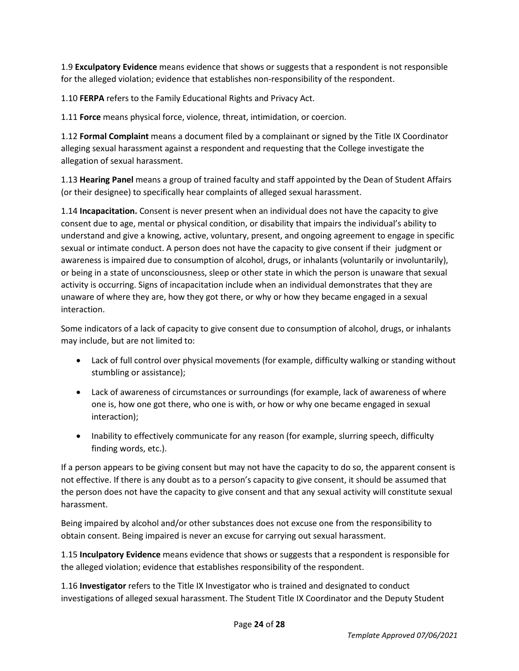1.9 **Exculpatory Evidence** means evidence that shows or suggests that a respondent is not responsible for the alleged violation; evidence that establishes non-responsibility of the respondent.

1.10 **FERPA** refers to the Family Educational Rights and Privacy Act.

1.11 **Force** means physical force, violence, threat, intimidation, or coercion.

1.12 **Formal Complaint** means a document filed by a complainant or signed by the Title IX Coordinator alleging sexual harassment against a respondent and requesting that the College investigate the allegation of sexual harassment.

1.13 **Hearing Panel** means a group of trained faculty and staff appointed by the Dean of Student Affairs (or their designee) to specifically hear complaints of alleged sexual harassment.

1.14 **Incapacitation.** Consent is never present when an individual does not have the capacity to give consent due to age, mental or physical condition, or disability that impairs the individual's ability to understand and give a knowing, active, voluntary, present, and ongoing agreement to engage in specific sexual or intimate conduct. A person does not have the capacity to give consent if their judgment or awareness is impaired due to consumption of alcohol, drugs, or inhalants (voluntarily or involuntarily), or being in a state of unconsciousness, sleep or other state in which the person is unaware that sexual activity is occurring. Signs of incapacitation include when an individual demonstrates that they are unaware of where they are, how they got there, or why or how they became engaged in a sexual interaction.

Some indicators of a lack of capacity to give consent due to consumption of alcohol, drugs, or inhalants may include, but are not limited to:

- Lack of full control over physical movements (for example, difficulty walking or standing without stumbling or assistance);
- Lack of awareness of circumstances or surroundings (for example, lack of awareness of where one is, how one got there, who one is with, or how or why one became engaged in sexual interaction);
- Inability to effectively communicate for any reason (for example, slurring speech, difficulty finding words, etc.).

If a person appears to be giving consent but may not have the capacity to do so, the apparent consent is not effective. If there is any doubt as to a person's capacity to give consent, it should be assumed that the person does not have the capacity to give consent and that any sexual activity will constitute sexual harassment.

Being impaired by alcohol and/or other substances does not excuse one from the responsibility to obtain consent. Being impaired is never an excuse for carrying out sexual harassment.

1.15 **Inculpatory Evidence** means evidence that shows or suggests that a respondent is responsible for the alleged violation; evidence that establishes responsibility of the respondent.

1.16 **Investigator** refers to the Title IX Investigator who is trained and designated to conduct investigations of alleged sexual harassment. The Student Title IX Coordinator and the Deputy Student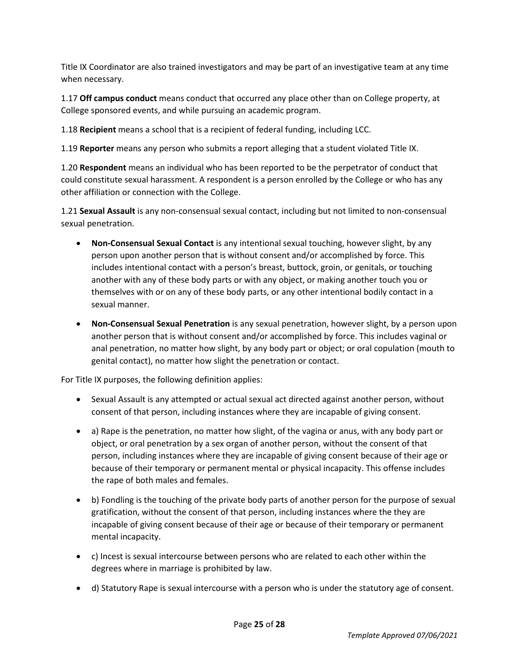Title IX Coordinator are also trained investigators and may be part of an investigative team at any time when necessary.

1.17 **Off campus conduct** means conduct that occurred any place other than on College property, at College sponsored events, and while pursuing an academic program.

1.18 **Recipient** means a school that is a recipient of federal funding, including LCC.

1.19 **Reporter** means any person who submits a report alleging that a student violated Title IX.

1.20 **Respondent** means an individual who has been reported to be the perpetrator of conduct that could constitute sexual harassment. A respondent is a person enrolled by the College or who has any other affiliation or connection with the College.

1.21 **Sexual Assault** is any non-consensual sexual contact, including but not limited to non-consensual sexual penetration.

- **Non-Consensual Sexual Contact** is any intentional sexual touching, however slight, by any person upon another person that is without consent and/or accomplished by force. This includes intentional contact with a person's breast, buttock, groin, or genitals, or touching another with any of these body parts or with any object, or making another touch you or themselves with or on any of these body parts, or any other intentional bodily contact in a sexual manner.
- **Non-Consensual Sexual Penetration** is any sexual penetration, however slight, by a person upon another person that is without consent and/or accomplished by force. This includes vaginal or anal penetration, no matter how slight, by any body part or object; or oral copulation (mouth to genital contact), no matter how slight the penetration or contact.

For Title IX purposes, the following definition applies:

- Sexual Assault is any attempted or actual sexual act directed against another person, without consent of that person, including instances where they are incapable of giving consent.
- a) Rape is the penetration, no matter how slight, of the vagina or anus, with any body part or object, or oral penetration by a sex organ of another person, without the consent of that person, including instances where they are incapable of giving consent because of their age or because of their temporary or permanent mental or physical incapacity. This offense includes the rape of both males and females.
- b) Fondling is the touching of the private body parts of another person for the purpose of sexual gratification, without the consent of that person, including instances where the they are incapable of giving consent because of their age or because of their temporary or permanent mental incapacity.
- c) Incest is sexual intercourse between persons who are related to each other within the degrees where in marriage is prohibited by law.
- d) Statutory Rape is sexual intercourse with a person who is under the statutory age of consent.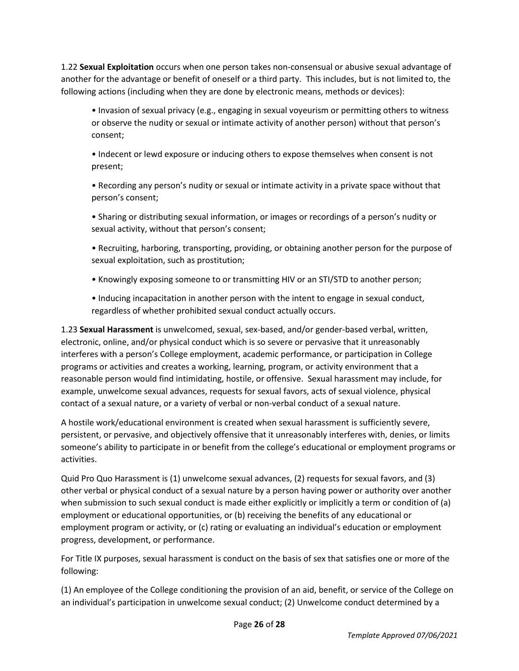1.22 **Sexual Exploitation** occurs when one person takes non-consensual or abusive sexual advantage of another for the advantage or benefit of oneself or a third party. This includes, but is not limited to, the following actions (including when they are done by electronic means, methods or devices):

• Invasion of sexual privacy (e.g., engaging in sexual voyeurism or permitting others to witness or observe the nudity or sexual or intimate activity of another person) without that person's consent;

• Indecent or lewd exposure or inducing others to expose themselves when consent is not present;

• Recording any person's nudity or sexual or intimate activity in a private space without that person's consent;

• Sharing or distributing sexual information, or images or recordings of a person's nudity or sexual activity, without that person's consent;

• Recruiting, harboring, transporting, providing, or obtaining another person for the purpose of sexual exploitation, such as prostitution;

• Knowingly exposing someone to or transmitting HIV or an STI/STD to another person;

• Inducing incapacitation in another person with the intent to engage in sexual conduct, regardless of whether prohibited sexual conduct actually occurs.

1.23 **Sexual Harassment** is unwelcomed, sexual, sex-based, and/or gender-based verbal, written, electronic, online, and/or physical conduct which is so severe or pervasive that it unreasonably interferes with a person's College employment, academic performance, or participation in College programs or activities and creates a working, learning, program, or activity environment that a reasonable person would find intimidating, hostile, or offensive. Sexual harassment may include, for example, unwelcome sexual advances, requests for sexual favors, acts of sexual violence, physical contact of a sexual nature, or a variety of verbal or non-verbal conduct of a sexual nature.

A hostile work/educational environment is created when sexual harassment is sufficiently severe, persistent, or pervasive, and objectively offensive that it unreasonably interferes with, denies, or limits someone's ability to participate in or benefit from the college's educational or employment programs or activities.

Quid Pro Quo Harassment is (1) unwelcome sexual advances, (2) requests for sexual favors, and (3) other verbal or physical conduct of a sexual nature by a person having power or authority over another when submission to such sexual conduct is made either explicitly or implicitly a term or condition of (a) employment or educational opportunities, or (b) receiving the benefits of any educational or employment program or activity, or (c) rating or evaluating an individual's education or employment progress, development, or performance.

For Title IX purposes, sexual harassment is conduct on the basis of sex that satisfies one or more of the following:

(1) An employee of the College conditioning the provision of an aid, benefit, or service of the College on an individual's participation in unwelcome sexual conduct; (2) Unwelcome conduct determined by a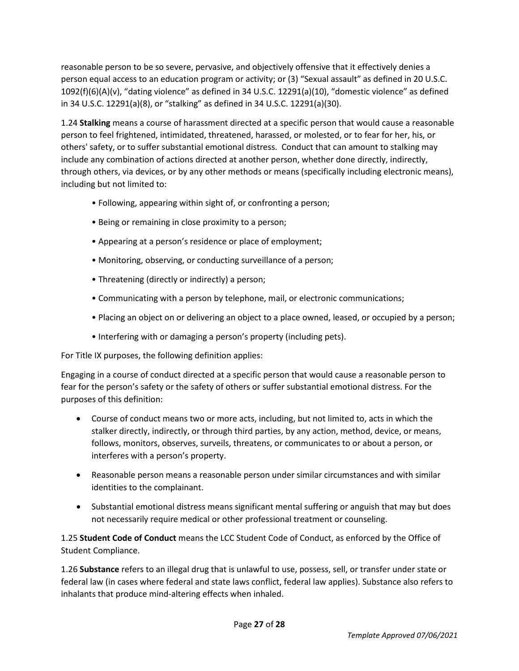reasonable person to be so severe, pervasive, and objectively offensive that it effectively denies a person equal access to an education program or activity; or (3) "Sexual assault" as defined in 20 U.S.C. 1092(f)(6)(A)(v), "dating violence" as defined in 34 U.S.C. 12291(a)(10), "domestic violence" as defined in 34 U.S.C. 12291(a)(8), or "stalking" as defined in 34 U.S.C. 12291(a)(30).

1.24 **Stalking** means a course of harassment directed at a specific person that would cause a reasonable person to feel frightened, intimidated, threatened, harassed, or molested, or to fear for her, his, or others' safety, or to suffer substantial emotional distress. Conduct that can amount to stalking may include any combination of actions directed at another person, whether done directly, indirectly, through others, via devices, or by any other methods or means (specifically including electronic means), including but not limited to:

- Following, appearing within sight of, or confronting a person;
- Being or remaining in close proximity to a person;
- Appearing at a person's residence or place of employment;
- Monitoring, observing, or conducting surveillance of a person;
- Threatening (directly or indirectly) a person;
- Communicating with a person by telephone, mail, or electronic communications;
- Placing an object on or delivering an object to a place owned, leased, or occupied by a person;
- Interfering with or damaging a person's property (including pets).

For Title IX purposes, the following definition applies:

Engaging in a course of conduct directed at a specific person that would cause a reasonable person to fear for the person's safety or the safety of others or suffer substantial emotional distress. For the purposes of this definition:

- Course of conduct means two or more acts, including, but not limited to, acts in which the stalker directly, indirectly, or through third parties, by any action, method, device, or means, follows, monitors, observes, surveils, threatens, or communicates to or about a person, or interferes with a person's property.
- Reasonable person means a reasonable person under similar circumstances and with similar identities to the complainant.
- Substantial emotional distress means significant mental suffering or anguish that may but does not necessarily require medical or other professional treatment or counseling.

1.25 **Student Code of Conduct** means the LCC Student Code of Conduct, as enforced by the Office of Student Compliance.

1.26 **Substance** refers to an illegal drug that is unlawful to use, possess, sell, or transfer under state or federal law (in cases where federal and state laws conflict, federal law applies). Substance also refers to inhalants that produce mind-altering effects when inhaled.